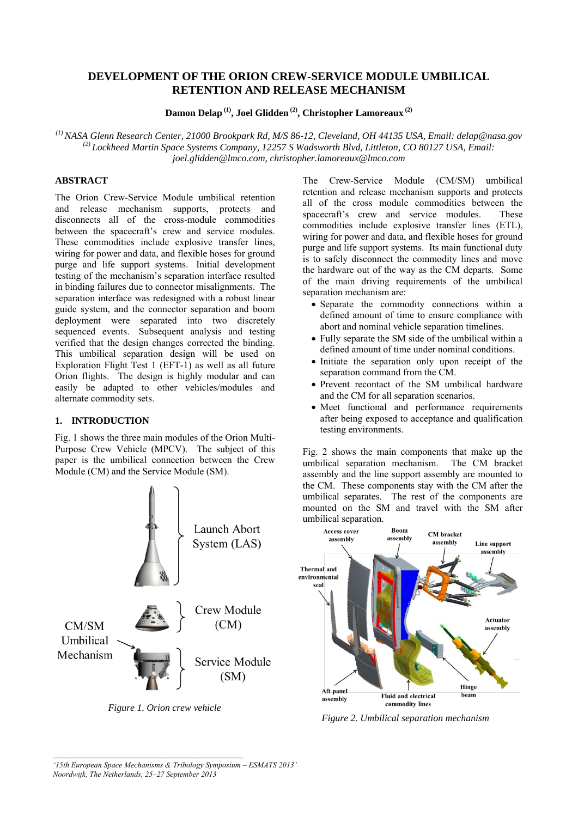# **DEVELOPMENT OF THE ORION CREW-SERVICE MODULE UMBILICAL RETENTION AND RELEASE MECHANISM**

**Damon Delap (1) , Joel Glidden (2) , Christopher Lamoreaux (2)**

*(1) NASA Glenn Research Center, 21000 Brookpark Rd, M/S 86-12, Cleveland, OH 44135 USA, Email: delap@nasa.gov (2) Lockheed Martin Space Systems Company, 12257 S Wadsworth Blvd, Littleton, CO 80127 USA, Email: joel.glidden@lmco.com, christopher.lamoreaux@lmco.com* 

# **ABSTRACT**

The Orion Crew-Service Module umbilical retention and release mechanism supports, protects and disconnects all of the cross-module commodities between the spacecraft's crew and service modules. These commodities include explosive transfer lines, wiring for power and data, and flexible hoses for ground purge and life support systems. Initial development testing of the mechanism's separation interface resulted in binding failures due to connector misalignments. The separation interface was redesigned with a robust linear guide system, and the connector separation and boom deployment were separated into two discretely sequenced events. Subsequent analysis and testing verified that the design changes corrected the binding. This umbilical separation design will be used on Exploration Flight Test 1 (EFT-1) as well as all future Orion flights. The design is highly modular and can easily be adapted to other vehicles/modules and alternate commodity sets.

# **1. INTRODUCTION**

Fig. 1 shows the three main modules of the Orion Multi-Purpose Crew Vehicle (MPCV). The subject of this paper is the umbilical connection between the Crew Module (CM) and the Service Module (SM).



*Figure 1. Orion crew vehicle*

The Crew-Service Module (CM/SM) umbilical retention and release mechanism supports and protects all of the cross module commodities between the spacecraft's crew and service modules. These commodities include explosive transfer lines (ETL), wiring for power and data, and flexible hoses for ground purge and life support systems. Its main functional duty is to safely disconnect the commodity lines and move the hardware out of the way as the CM departs. Some of the main driving requirements of the umbilical separation mechanism are:

- Separate the commodity connections within a defined amount of time to ensure compliance with abort and nominal vehicle separation timelines.
- Fully separate the SM side of the umbilical within a defined amount of time under nominal conditions.
- Initiate the separation only upon receipt of the separation command from the CM.
- Prevent recontact of the SM umbilical hardware and the CM for all separation scenarios.
- Meet functional and performance requirements after being exposed to acceptance and qualification testing environments.

Fig. 2 shows the main components that make up the umbilical separation mechanism. The CM bracket assembly and the line support assembly are mounted to the CM. These components stay with the CM after the umbilical separates. The rest of the components are mounted on the SM and travel with the SM after umbilical separation.



*Figure 2. Umbilical separation mechanism*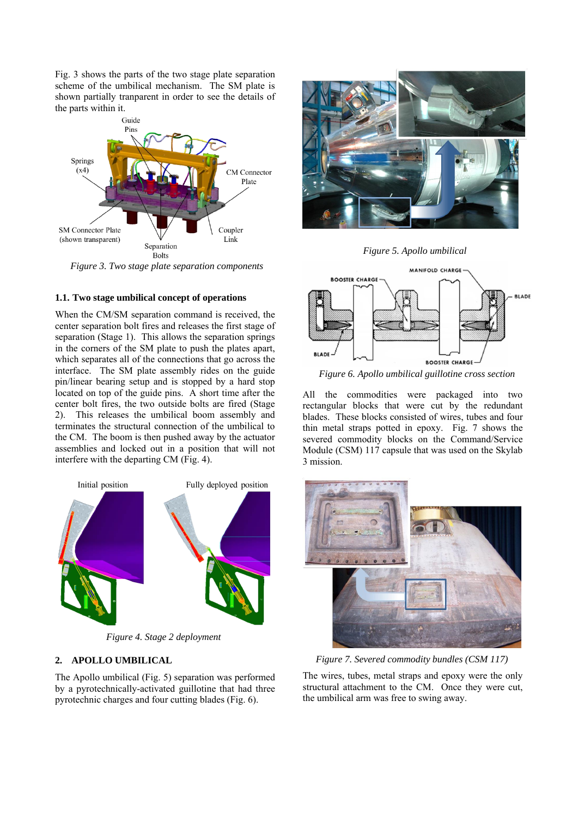Fig. 3 shows the parts of the two stage plate separation scheme of the umbilical mechanism. The SM plate is shown partially tranparent in order to see the details of the parts within it.



*Figure 3. Two stage plate separation components*

#### **1.1. Two stage umbilical concept of operations**

When the CM/SM separation command is received, the center separation bolt fires and releases the first stage of separation (Stage 1). This allows the separation springs in the corners of the SM plate to push the plates apart, which separates all of the connections that go across the interface. The SM plate assembly rides on the guide pin/linear bearing setup and is stopped by a hard stop located on top of the guide pins. A short time after the center bolt fires, the two outside bolts are fired (Stage 2). This releases the umbilical boom assembly and terminates the structural connection of the umbilical to the CM. The boom is then pushed away by the actuator assemblies and locked out in a position that will not interfere with the departing CM (Fig. 4).



*Figure 4. Stage 2 deployment*

# **2. APOLLO UMBILICAL**

The Apollo umbilical (Fig. 5) separation was performed by a pyrotechnically-activated guillotine that had three pyrotechnic charges and four cutting blades (Fig. 6).







*Figure 6. Apollo umbilical guillotine cross section*

All the commodities were packaged into two rectangular blocks that were cut by the redundant blades. These blocks consisted of wires, tubes and four thin metal straps potted in epoxy. Fig. 7 shows the severed commodity blocks on the Command/Service Module (CSM) 117 capsule that was used on the Skylab 3 mission.



*Figure 7. Severed commodity bundles (CSM 117)*

The wires, tubes, metal straps and epoxy were the only structural attachment to the CM. Once they were cut, the umbilical arm was free to swing away.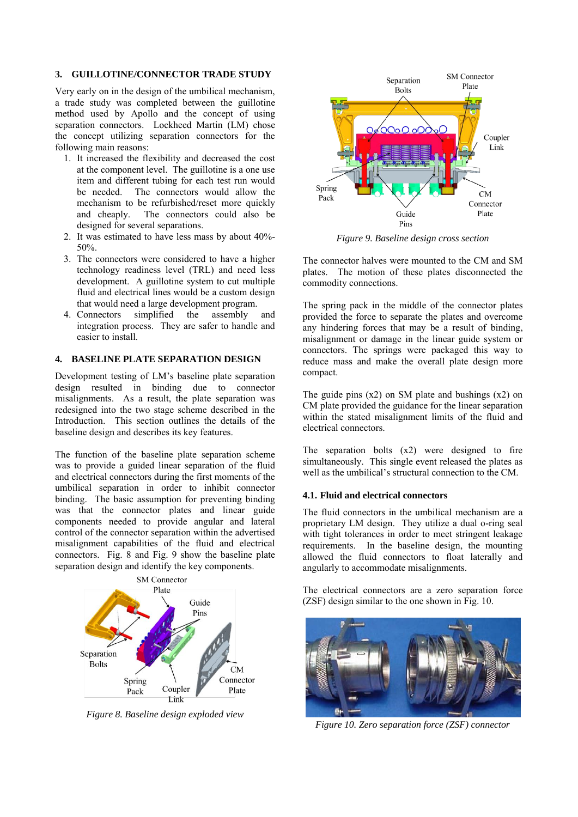#### **3. GUILLOTINE/CONNECTOR TRADE STUDY**

Very early on in the design of the umbilical mechanism, a trade study was completed between the guillotine method used by Apollo and the concept of using separation connectors. Lockheed Martin (LM) chose the concept utilizing separation connectors for the following main reasons:

- 1. It increased the flexibility and decreased the cost at the component level. The guillotine is a one use item and different tubing for each test run would be needed. The connectors would allow the mechanism to be refurbished/reset more quickly and cheaply. The connectors could also be designed for several separations.
- 2. It was estimated to have less mass by about 40%- 50%.
- 3. The connectors were considered to have a higher technology readiness level (TRL) and need less development. A guillotine system to cut multiple fluid and electrical lines would be a custom design that would need a large development program.
- 4. Connectors simplified the assembly and integration process. They are safer to handle and easier to install.

# **4. BASELINE PLATE SEPARATION DESIGN**

Development testing of LM's baseline plate separation design resulted in binding due to connector misalignments. As a result, the plate separation was redesigned into the two stage scheme described in the Introduction. This section outlines the details of the baseline design and describes its key features.

The function of the baseline plate separation scheme was to provide a guided linear separation of the fluid and electrical connectors during the first moments of the umbilical separation in order to inhibit connector binding. The basic assumption for preventing binding was that the connector plates and linear guide components needed to provide angular and lateral control of the connector separation within the advertised misalignment capabilities of the fluid and electrical connectors. Fig. 8 and Fig. 9 show the baseline plate separation design and identify the key components.



*Figure 8. Baseline design exploded view* 



*Figure 9. Baseline design cross section* 

The connector halves were mounted to the CM and SM plates. The motion of these plates disconnected the commodity connections.

The spring pack in the middle of the connector plates provided the force to separate the plates and overcome any hindering forces that may be a result of binding, misalignment or damage in the linear guide system or connectors. The springs were packaged this way to reduce mass and make the overall plate design more compact.

The guide pins  $(x2)$  on SM plate and bushings  $(x2)$  on CM plate provided the guidance for the linear separation within the stated misalignment limits of the fluid and electrical connectors.

The separation bolts (x2) were designed to fire simultaneously. This single event released the plates as well as the umbilical's structural connection to the CM.

### **4.1. Fluid and electrical connectors**

The fluid connectors in the umbilical mechanism are a proprietary LM design. They utilize a dual o-ring seal with tight tolerances in order to meet stringent leakage requirements. In the baseline design, the mounting allowed the fluid connectors to float laterally and angularly to accommodate misalignments.

The electrical connectors are a zero separation force (ZSF) design similar to the one shown in Fig. 10.



*Figure 10. Zero separation force (ZSF) connector*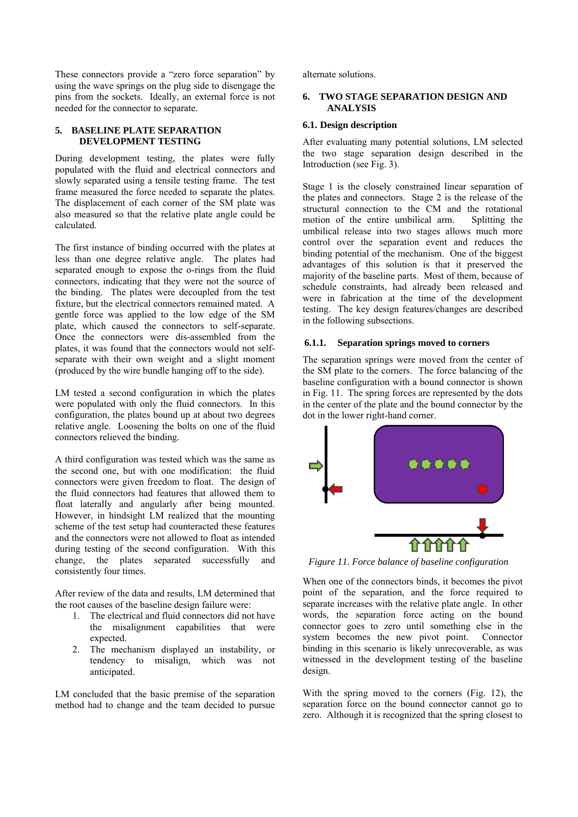These connectors provide a "zero force separation" by using the wave springs on the plug side to disengage the pins from the sockets. Ideally, an external force is not needed for the connector to separate.

### **5. BASELINE PLATE SEPARATION DEVELOPMENT TESTING**

During development testing, the plates were fully populated with the fluid and electrical connectors and slowly separated using a tensile testing frame. The test frame measured the force needed to separate the plates. The displacement of each corner of the SM plate was also measured so that the relative plate angle could be calculated.

The first instance of binding occurred with the plates at less than one degree relative angle. The plates had separated enough to expose the o-rings from the fluid connectors, indicating that they were not the source of the binding. The plates were decoupled from the test fixture, but the electrical connectors remained mated. A gentle force was applied to the low edge of the SM plate, which caused the connectors to self-separate. Once the connectors were dis-assembled from the plates, it was found that the connectors would not selfseparate with their own weight and a slight moment (produced by the wire bundle hanging off to the side).

LM tested a second configuration in which the plates were populated with only the fluid connectors. In this configuration, the plates bound up at about two degrees relative angle. Loosening the bolts on one of the fluid connectors relieved the binding.

A third configuration was tested which was the same as the second one, but with one modification: the fluid connectors were given freedom to float. The design of the fluid connectors had features that allowed them to float laterally and angularly after being mounted. However, in hindsight LM realized that the mounting scheme of the test setup had counteracted these features and the connectors were not allowed to float as intended during testing of the second configuration. With this change, the plates separated successfully and consistently four times.

After review of the data and results, LM determined that the root causes of the baseline design failure were:

- 1. The electrical and fluid connectors did not have the misalignment capabilities that were expected.
- 2. The mechanism displayed an instability, or tendency to misalign, which was not anticipated.

LM concluded that the basic premise of the separation method had to change and the team decided to pursue alternate solutions.

### **6. TWO STAGE SEPARATION DESIGN AND ANALYSIS**

### **6.1. Design description**

After evaluating many potential solutions, LM selected the two stage separation design described in the Introduction (see Fig. 3).

Stage 1 is the closely constrained linear separation of the plates and connectors. Stage 2 is the release of the structural connection to the CM and the rotational motion of the entire umbilical arm. Splitting the umbilical release into two stages allows much more control over the separation event and reduces the binding potential of the mechanism. One of the biggest advantages of this solution is that it preserved the majority of the baseline parts. Most of them, because of schedule constraints, had already been released and were in fabrication at the time of the development testing. The key design features/changes are described in the following subsections.

#### **6.1.1. Separation springs moved to corners**

The separation springs were moved from the center of the SM plate to the corners. The force balancing of the baseline configuration with a bound connector is shown in Fig. 11. The spring forces are represented by the dots in the center of the plate and the bound connector by the dot in the lower right-hand corner.



*Figure 11. Force balance of baseline configuration*

When one of the connectors binds, it becomes the pivot point of the separation, and the force required to separate increases with the relative plate angle. In other words, the separation force acting on the bound connector goes to zero until something else in the system becomes the new pivot point. Connector binding in this scenario is likely unrecoverable, as was witnessed in the development testing of the baseline design.

With the spring moved to the corners (Fig. 12), the separation force on the bound connector cannot go to zero. Although it is recognized that the spring closest to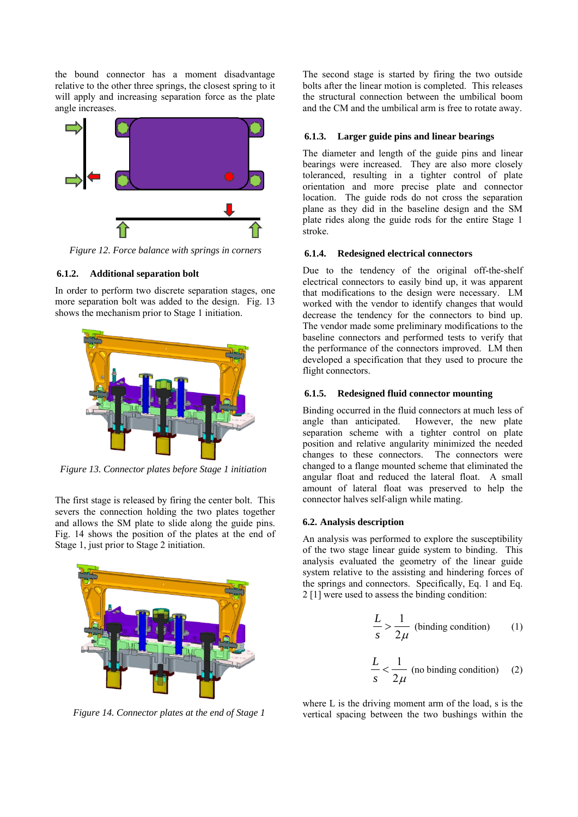the bound connector has a moment disadvantage relative to the other three springs, the closest spring to it will apply and increasing separation force as the plate angle increases.



*Figure 12. Force balance with springs in corners*

#### **6.1.2. Additional separation bolt**

In order to perform two discrete separation stages, one more separation bolt was added to the design. Fig. 13 shows the mechanism prior to Stage 1 initiation.



*Figure 13. Connector plates before Stage 1 initiation*

The first stage is released by firing the center bolt. This severs the connection holding the two plates together and allows the SM plate to slide along the guide pins. Fig. 14 shows the position of the plates at the end of Stage 1, just prior to Stage 2 initiation.



*Figure 14. Connector plates at the end of Stage 1*

The second stage is started by firing the two outside bolts after the linear motion is completed. This releases the structural connection between the umbilical boom and the CM and the umbilical arm is free to rotate away.

#### **6.1.3. Larger guide pins and linear bearings**

The diameter and length of the guide pins and linear bearings were increased. They are also more closely toleranced, resulting in a tighter control of plate orientation and more precise plate and connector location. The guide rods do not cross the separation plane as they did in the baseline design and the SM plate rides along the guide rods for the entire Stage 1 stroke.

#### **6.1.4. Redesigned electrical connectors**

Due to the tendency of the original off-the-shelf electrical connectors to easily bind up, it was apparent that modifications to the design were necessary. LM worked with the vendor to identify changes that would decrease the tendency for the connectors to bind up. The vendor made some preliminary modifications to the baseline connectors and performed tests to verify that the performance of the connectors improved. LM then developed a specification that they used to procure the flight connectors.

#### **6.1.5. Redesigned fluid connector mounting**

Binding occurred in the fluid connectors at much less of angle than anticipated. However, the new plate separation scheme with a tighter control on plate position and relative angularity minimized the needed changes to these connectors. The connectors were changed to a flange mounted scheme that eliminated the angular float and reduced the lateral float. A small amount of lateral float was preserved to help the connector halves self-align while mating.

#### **6.2. Analysis description**

An analysis was performed to explore the susceptibility of the two stage linear guide system to binding. This analysis evaluated the geometry of the linear guide system relative to the assisting and hindering forces of the springs and connectors. Specifically, Eq. 1 and Eq. 2 [1] were used to assess the binding condition:

$$
\frac{L}{s} > \frac{1}{2\mu}
$$
 (binding condition) (1)

$$
\frac{L}{s} < \frac{1}{2\mu} \text{ (no binding condition)} \tag{2}
$$

where L is the driving moment arm of the load, s is the vertical spacing between the two bushings within the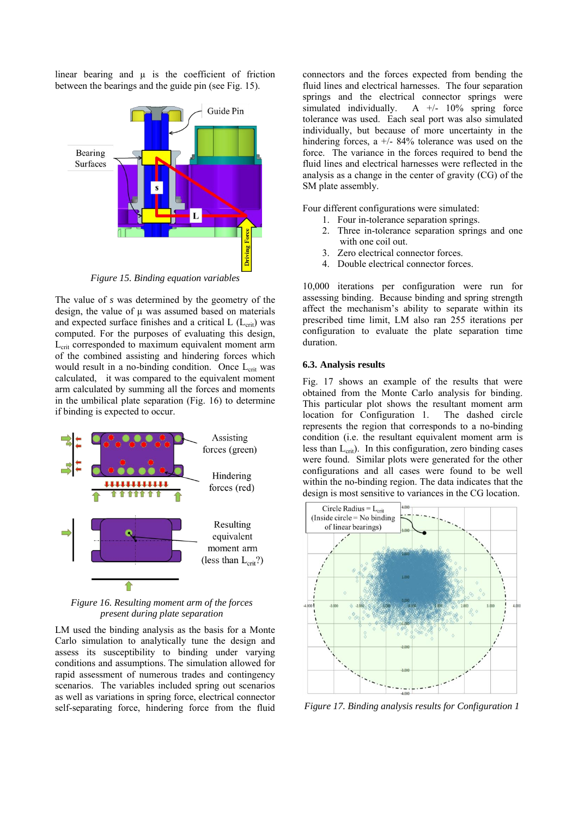linear bearing and  $\mu$  is the coefficient of friction between the bearings and the guide pin (see Fig. 15).



*Figure 15. Binding equation variables*

The value of *s* was determined by the geometry of the design, the value of  $\mu$  was assumed based on materials and expected surface finishes and a critical  $L$  ( $L<sub>crit</sub>$ ) was computed. For the purposes of evaluating this design, L<sub>crit</sub> corresponded to maximum equivalent moment arm of the combined assisting and hindering forces which would result in a no-binding condition. Once  $L_{crit}$  was calculated, it was compared to the equivalent moment arm calculated by summing all the forces and moments in the umbilical plate separation (Fig. 16) to determine if binding is expected to occur.



*Figure 16. Resulting moment arm of the forces present during plate separation*

LM used the binding analysis as the basis for a Monte Carlo simulation to analytically tune the design and assess its susceptibility to binding under varying conditions and assumptions. The simulation allowed for rapid assessment of numerous trades and contingency scenarios. The variables included spring out scenarios as well as variations in spring force, electrical connector self-separating force, hindering force from the fluid

connectors and the forces expected from bending the fluid lines and electrical harnesses. The four separation springs and the electrical connector springs were simulated individually. A  $+/-$  10% spring force tolerance was used. Each seal port was also simulated individually, but because of more uncertainty in the hindering forces, a  $+/- 84\%$  tolerance was used on the force. The variance in the forces required to bend the fluid lines and electrical harnesses were reflected in the analysis as a change in the center of gravity (CG) of the SM plate assembly.

Four different configurations were simulated:

- 1. Four in-tolerance separation springs.
- 2. Three in-tolerance separation springs and one with one coil out.
- 3. Zero electrical connector forces.
- 4. Double electrical connector forces.

10,000 iterations per configuration were run for assessing binding. Because binding and spring strength affect the mechanism's ability to separate within its prescribed time limit, LM also ran 255 iterations per configuration to evaluate the plate separation time duration.

### **6.3. Analysis results**

Fig. 17 shows an example of the results that were obtained from the Monte Carlo analysis for binding. This particular plot shows the resultant moment arm location for Configuration 1. The dashed circle represents the region that corresponds to a no-binding condition (i.e. the resultant equivalent moment arm is less than  $L_{\text{crit}}$ ). In this configuration, zero binding cases were found. Similar plots were generated for the other configurations and all cases were found to be well within the no-binding region. The data indicates that the design is most sensitive to variances in the CG location.



*Figure 17. Binding analysis results for Configuration 1*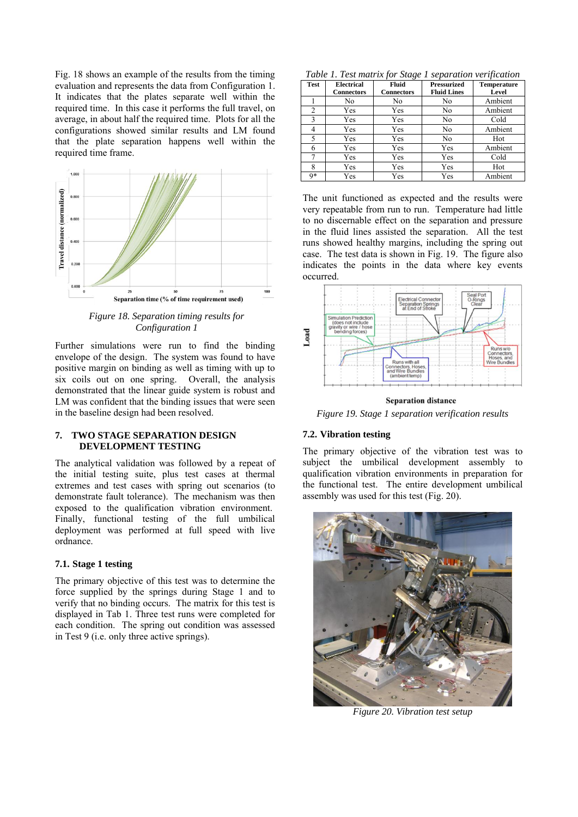Fig. 18 shows an example of the results from the timing evaluation and represents the data from Configuration 1. It indicates that the plates separate well within the required time. In this case it performs the full travel, on average, in about half the required time. Plots for all the configurations showed similar results and LM found that the plate separation happens well within the required time frame.



*Figure 18. Separation timing results for Configuration 1*

Further simulations were run to find the binding envelope of the design. The system was found to have positive margin on binding as well as timing with up to six coils out on one spring. Overall, the analysis demonstrated that the linear guide system is robust and LM was confident that the binding issues that were seen in the baseline design had been resolved.

#### **7. TWO STAGE SEPARATION DESIGN DEVELOPMENT TESTING**

The analytical validation was followed by a repeat of the initial testing suite, plus test cases at thermal extremes and test cases with spring out scenarios (to demonstrate fault tolerance). The mechanism was then exposed to the qualification vibration environment. Finally, functional testing of the full umbilical deployment was performed at full speed with live ordnance.

#### **7.1. Stage 1 testing**

The primary objective of this test was to determine the force supplied by the springs during Stage 1 and to verify that no binding occurs. The matrix for this test is displayed in Tab 1. Three test runs were completed for each condition. The spring out condition was assessed in Test 9 (i.e. only three active springs).

*Table 1. Test matrix for Stage 1 separation verification* 

| <b>Test</b>    | <b>Electrical</b><br><b>Connectors</b> | Fluid<br><b>Connectors</b> | <b>Pressurized</b><br><b>Fluid Lines</b> | <b>Temperature</b><br>Level |
|----------------|----------------------------------------|----------------------------|------------------------------------------|-----------------------------|
|                | No                                     | No                         | No                                       | Ambient                     |
| $\overline{c}$ | Yes                                    | Yes                        | No                                       | Ambient                     |
| 3              | Yes                                    | Yes                        | No                                       | Cold                        |
| 4              | Yes                                    | Yes                        | No                                       | Ambient                     |
| 5              | Yes                                    | Yes                        | No                                       | Hot                         |
| 6              | Yes                                    | Yes                        | Yes                                      | Ambient                     |
| 7              | Yes                                    | Yes                        | Yes                                      | Cold                        |
| 8              | Yes                                    | Yes                        | Yes                                      | Hot                         |
| $Q*$           | Yes                                    | Yes                        | Yes                                      | Ambient                     |

The unit functioned as expected and the results were very repeatable from run to run. Temperature had little to no discernable effect on the separation and pressure in the fluid lines assisted the separation. All the test runs showed healthy margins, including the spring out case. The test data is shown in Fig. 19. The figure also indicates the points in the data where key events occurred.



**Separation distance** 

*Figure 19. Stage 1 separation verification results*

# **7.2. Vibration testing**

The primary objective of the vibration test was to subject the umbilical development assembly to qualification vibration environments in preparation for the functional test. The entire development umbilical assembly was used for this test (Fig. 20).



*Figure 20. Vibration test setup*